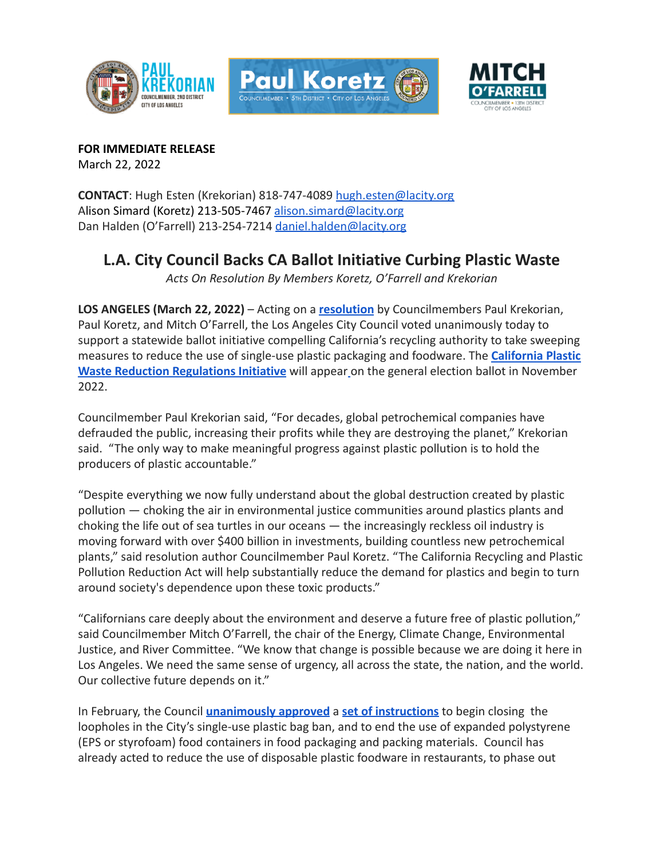





**FOR IMMEDIATE RELEASE** March 22, 2022

**CONTACT**: Hugh Esten (Krekorian) 818-747-4089 [hugh.esten@lacity.org](mailto:hugh.esten@lacity.org) Alison Simard (Koretz) 213-505-7467 alison.simard@lacity.org Dan Halden (O'Farrell) 213-254-7214 daniel.halden@lacity.org

## **L.A. City Council Backs CA Ballot Initiative Curbing Plastic Waste**

*Acts On Resolution By Members Koretz, O'Farrell and Krekorian*

**LOS ANGELES (March 22, 2022)** – Acting on a **[resolution](https://clkrep.lacity.org/onlinedocs/2021/21-0002-S164_misc_09-01-21.pdf)** by Councilmembers Paul Krekorian, Paul Koretz, and Mitch O'Farrell, the Los Angeles City Council voted unanimously today to support a statewide ballot initiative compelling California's recycling authority to take sweeping measures to reduce the use of single-use plastic pa[c](https://elections.cdn.sos.ca.gov/ccrov/2021/july/21100jk.pdf)kaging and foodware. The **[California Plastic](https://www.oag.ca.gov/system/files/initiatives/pdfs/19-0028A1%20%28Recycling%20Products%20%29.pdf) [Waste Reduction Regulations Initiative](https://www.oag.ca.gov/system/files/initiatives/pdfs/19-0028A1%20%28Recycling%20Products%20%29.pdf)** will appear on the general election ballot in November 2022.

Councilmember Paul Krekorian said, "For decades, global petrochemical companies have defrauded the public, increasing their profits while they are destroying the planet," Krekorian said. "The only way to make meaningful progress against plastic pollution is to hold the producers of plastic accountable."

"Despite everything we now fully understand about the global destruction created by plastic pollution — choking the air in environmental justice communities around plastics plants and choking the life out of sea turtles in our oceans — the increasingly reckless oil industry is moving forward with over \$400 billion in investments, building countless new petrochemical plants," said resolution author Councilmember Paul Koretz. "The California Recycling and Plastic Pollution Reduction Act will help substantially reduce the demand for plastics and begin to turn around society's dependence upon these toxic products."

"Californians care deeply about the environment and deserve a future free of plastic pollution," said Councilmember Mitch O'Farrell, the chair of the Energy, Climate Change, Environmental Justice, and River Committee. "We know that change is possible because we are doing it here in Los Angeles. We need the same sense of urgency, all across the state, the nation, and the world. Our collective future depends on it."

In February, the Council **[unanimously approved](https://clkrep.lacity.org/onlinedocs/2021/21-0064_caf_2-16-22.pdf)** a **set [of instructions](https://clkrep.lacity.org/onlinedocs/2021/21-0064_rpt_eccejr_12-2-21.pdf)** to begin closing the loopholes in the City's single-use plastic bag ban, and to end the use of expanded polystyrene (EPS or styrofoam) food containers in food packaging and packing materials. Council has already acted to reduce the use of disposable plastic foodware in restaurants, to phase out